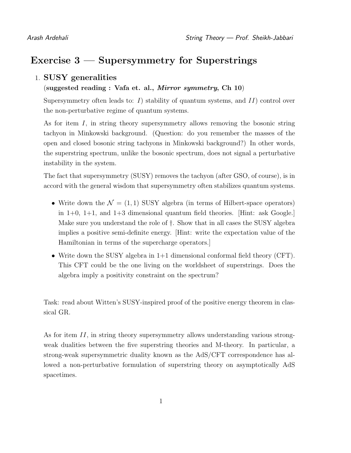# Exercise 3 — Supersymmetry for Superstrings

### 1. SUSY generalities

#### (suggested reading : Vafa et. al., Mirror symmetry, Ch 10)

Supersymmetry often leads to:  $I$ ) stability of quantum systems, and  $II$ ) control over the non-perturbative regime of quantum systems.

As for item I, in string theory supersymmetry allows removing the bosonic string tachyon in Minkowski background. (Question: do you remember the masses of the open and closed bosonic string tachyons in Minkowski background?) In other words, the superstring spectrum, unlike the bosonic spectrum, does not signal a perturbative instability in the system.

The fact that supersymmetry (SUSY) removes the tachyon (after GSO, of course), is in accord with the general wisdom that supersymmetry often stabilizes quantum systems.

- Write down the  $\mathcal{N} = (1, 1)$  SUSY algebra (in terms of Hilbert-space operators) in  $1+0$ ,  $1+1$ , and  $1+3$  dimensional quantum field theories. [Hint: ask Google.] Make sure you understand the role of †. Show that in all cases the SUSY algebra implies a positive semi-definite energy. [Hint: write the expectation value of the Hamiltonian in terms of the supercharge operators.]
- Write down the SUSY algebra in 1+1 dimensional conformal field theory (CFT). This CFT could be the one living on the worldsheet of superstrings. Does the algebra imply a positivity constraint on the spectrum?

Task: read about Witten's SUSY-inspired proof of the positive energy theorem in classical GR.

As for item II, in string theory supersymmetry allows understanding various strongweak dualities between the five superstring theories and M-theory. In particular, a strong-weak supersymmetric duality known as the AdS/CFT correspondence has allowed a non-perturbative formulation of superstring theory on asymptotically AdS spacetimes.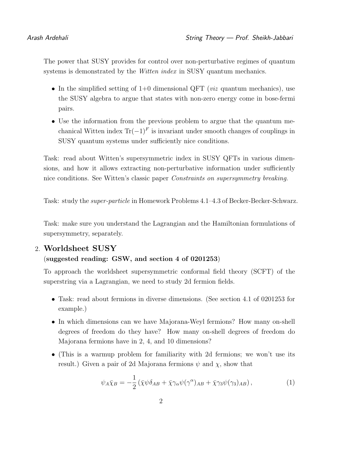The power that SUSY provides for control over non-perturbative regimes of quantum systems is demonstrated by the *Witten index* in SUSY quantum mechanics.

- In the simplified setting of  $1+0$  dimensional QFT (*viz* quantum mechanics), use the SUSY algebra to argue that states with non-zero energy come in bose-fermi pairs.
- Use the information from the previous problem to argue that the quantum mechanical Witten index  $Tr(-1)^F$  is invariant under smooth changes of couplings in SUSY quantum systems under sufficiently nice conditions.

Task: read about Witten's supersymmetric index in SUSY QFTs in various dimensions, and how it allows extracting non-perturbative information under sufficiently nice conditions. See Witten's classic paper Constraints on supersymmetry breaking.

Task: study the super-particle in Homework Problems 4.1–4.3 of Becker-Becker-Schwarz.

Task: make sure you understand the Lagrangian and the Hamiltonian formulations of supersymmetry, separately.

### 2. Worldsheet SUSY

#### (suggested reading: GSW, and section 4 of 0201253)

To approach the worldsheet supersymmetric conformal field theory (SCFT) of the superstring via a Lagrangian, we need to study 2d fermion fields.

- Task: read about fermions in diverse dimensions. (See section 4.1 of 0201253 for example.)
- In which dimensions can we have Majorana-Weyl fermions? How many on-shell degrees of freedom do they have? How many on-shell degrees of freedom do Majorana fermions have in 2, 4, and 10 dimensions?
- (This is a warmup problem for familiarity with 2d fermions; we won't use its result.) Given a pair of 2d Majorana fermions  $\psi$  and  $\chi$ , show that

$$
\psi_A \bar{\chi}_B = -\frac{1}{2} \left( \bar{\chi} \psi \delta_{AB} + \bar{\chi} \gamma_\alpha \psi (\gamma^\alpha)_{AB} + \bar{\chi} \gamma_3 \psi (\gamma_3)_{AB} \right), \tag{1}
$$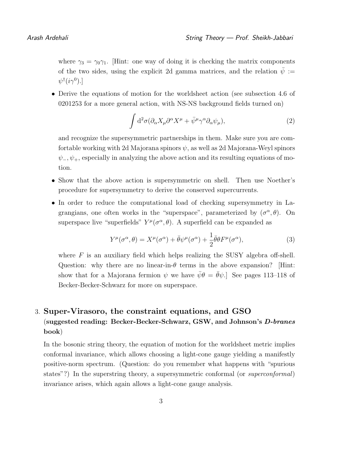where  $\gamma_3 = \gamma_0 \gamma_1$ . [Hint: one way of doing it is checking the matrix components of the two sides, using the explicit 2d gamma matrices, and the relation  $\bar{\psi}$  :=  $\psi^\dagger (i \gamma^0)$ .]

• Derive the equations of motion for the worldsheet action (see subsection 4.6 of 0201253 for a more general action, with NS-NS background fields turned on)

$$
\int d^2\sigma (\partial_\alpha X_\mu \partial^\alpha X^\mu + \bar{\psi}^\mu \gamma^\alpha \partial_\alpha \psi_\mu),\tag{2}
$$

and recognize the supersymmetric partnerships in them. Make sure you are comfortable working with 2d Majorana spinors  $\psi$ , as well as 2d Majorana-Weyl spinors  $\psi_-, \psi_+$ , especially in analyzing the above action and its resulting equations of motion.

- Show that the above action is supersymmetric on shell. Then use Noether's procedure for supersymmetry to derive the conserved supercurrents.
- In order to reduce the computational load of checking supersymmetry in Lagrangians, one often works in the "superspace", parameterized by  $(\sigma^{\alpha}, \theta)$ . On superspace live "superfields"  $Y^{\mu}(\sigma^{\alpha}, \theta)$ . A superfield can be expanded as

$$
Y^{\mu}(\sigma^{\alpha}, \theta) = X^{\mu}(\sigma^{\alpha}) + \bar{\theta}\psi^{\mu}(\sigma^{\alpha}) + \frac{1}{2}\bar{\theta}\theta F^{\mu}(\sigma^{\alpha}), \tag{3}
$$

where  $F$  is an auxiliary field which helps realizing the SUSY algebra off-shell. Question: why there are no linear-in- $\theta$  terms in the above expansion? [Hint: show that for a Majorana fermion  $\psi$  we have  $\bar{\psi}\theta = \bar{\theta}\psi$ . See pages 113–118 of Becker-Becker-Schwarz for more on superspace.

# 3. Super-Virasoro, the constraint equations, and GSO (suggested reading: Becker-Becker-Schwarz, GSW, and Johnson's D-branes book)

In the bosonic string theory, the equation of motion for the worldsheet metric implies conformal invariance, which allows choosing a light-cone gauge yielding a manifestly positive-norm spectrum. (Question: do you remember what happens with "spurious states"?) In the superstring theory, a supersymmetric conformal (or *superconformal*) invariance arises, which again allows a light-cone gauge analysis.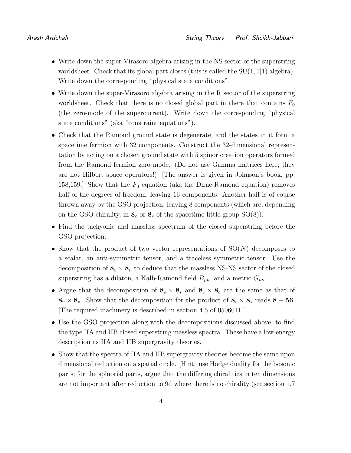- Write down the super-Virasoro algebra arising in the NS sector of the superstring worldsheet. Check that its global part closes (this is called the  $SU(1, 1|1)$  algebra). Write down the corresponding "physical state conditions".
- Write down the super-Virasoro algebra arising in the R sector of the superstring worldsheet. Check that there is no closed global part in there that contains  $F_0$ (the zero-mode of the supercurrent). Write down the corresponding "physical state conditions" (aka "constraint equations").
- Check that the Ramond ground state is degenerate, and the states in it form a spacetime fermion with 32 components. Construct the 32-dimensional representation by acting on a chosen ground state with 5 spinor creation operators formed from the Ramond fermion zero mode. (Do not use Gamma matrices here; they are not Hilbert space operators!) [The answer is given in Johnson's book, pp. 158,159.] Show that the  $F_0$  equation (aka the Dirac-Ramond equation) removes half of the degrees of freedom, leaving 16 components. Another half is of course thrown away by the GSO projection, leaving 8 components (which are, depending on the GSO chirality, in  $\mathbf{8}_c$  or  $\mathbf{8}_s$  of the spacetime little group  $SO(8)$ .
- Find the tachyonic and massless spectrum of the closed superstring before the GSO projection.
- Show that the product of two vector representations of  $SO(N)$  decomposes to a scalar, an anti-symmetric tensor, and a traceless symmetric tensor. Use the decomposition of  $\mathbf{8}_v \times \mathbf{8}_v$  to deduce that the massless NS-NS sector of the closed superstring has a dilaton, a Kalb-Ramond field  $B_{\mu\nu}$ , and a metric  $G_{\mu\nu}$ .
- Argue that the decomposition of  $\mathbf{8}_s \times \mathbf{8}_s$  and  $\mathbf{8}_c \times \mathbf{8}_c$  are the same as that of  $8_v \times 8_v$ . Show that the decomposition for the product of  $8_c \times 8_s$  reads  $8 + 56$ . [The required machinery is described in section 4.5 of 0506011.]
- Use the GSO projection along with the decompositions discussed above, to find the type IIA and IIB closed superstring massless spectra. These have a low-energy description as IIA and IIB supergravity theories.
- Show that the spectra of IIA and IIB supergravity theories become the same upon dimensional reduction on a spatial circle. [Hint: use Hodge duality for the bosonic parts; for the spinorial parts, argue that the differing chiralities in ten dimensions are not important after reduction to 9d where there is no chirality (see section 1.7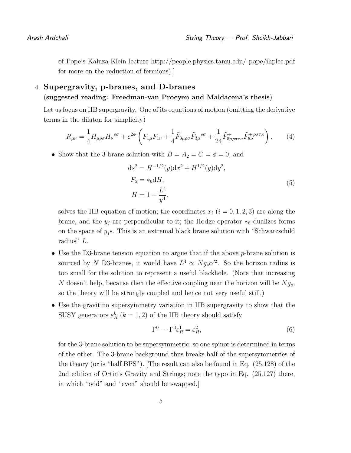of Pope's Kaluza-Klein lecture http://people.physics.tamu.edu/ pope/ihplec.pdf for more on the reduction of fermions).]

## 4. Supergravity, p-branes, and D-branes (suggested reading: Freedman-van Proeyen and Maldacena's thesis)

Let us focus on IIB supergravity. One of its equations of motion (omitting the derivative terms in the dilaton for simplicity)

$$
R_{\mu\nu} = \frac{1}{4} H_{\mu\rho\sigma} H_{\nu}^{\ \rho\sigma} + e^{2\phi} \left( F_{1\mu} F_{1\nu} + \frac{1}{4} \tilde{F}_{3\mu\rho\sigma} \tilde{F}_{3\mu}^{\ \rho\sigma} + \frac{1}{24} \tilde{F}_{5\mu\rho\sigma\tau\kappa}^{+} \tilde{F}_{5\nu}^{+\ \rho\sigma\tau\kappa} \right). \tag{4}
$$

• Show that the 3-brane solution with  $B = A_2 = C = \phi = 0$ , and

$$
ds^{2} = H^{-1/2}(y)dx^{2} + H^{1/2}(y)dy^{2},
$$
  
\n
$$
F_{5} = *_{6}dH,
$$
  
\n
$$
H = 1 + \frac{L^{4}}{y^{4}},
$$
\n(5)

solves the IIB equation of motion; the coordinates  $x_i$   $(i = 0, 1, 2, 3)$  are along the brane, and the  $y_j$  are perpendicular to it; the Hodge operator  $*_6$  dualizes forms on the space of  $y_i$ s. This is an extremal black brane solution with "Schwarzschild" radius" L.

- Use the D3-brane tension equation to argue that if the above *p*-brane solution is sourced by N D3-branes, it would have  $L^4 \propto N g_s \alpha'^2$ . So the horizon radius is too small for the solution to represent a useful blackhole. (Note that increasing N doesn't help, because then the effective coupling near the horizon will be  $N_{g_s}$ , so the theory will be strongly coupled and hence not very useful still.)
- Use the gravitino supersymmetry variation in IIB supergravity to show that the SUSY generators  $\varepsilon_R^k$  ( $k = 1, 2$ ) of the IIB theory should satisfy

$$
\Gamma^0 \cdots \Gamma^3 \varepsilon_R^1 = \varepsilon_R^2,\tag{6}
$$

for the 3-brane solution to be supersymmetric; so one spinor is determined in terms of the other. The 3-brane background thus breaks half of the supersymmetries of the theory (or is "half BPS"). [The result can also be found in Eq. (25.128) of the 2nd edition of Ortin's Gravity and Strings; note the typo in Eq. (25.127) there, in which "odd" and "even" should be swapped.]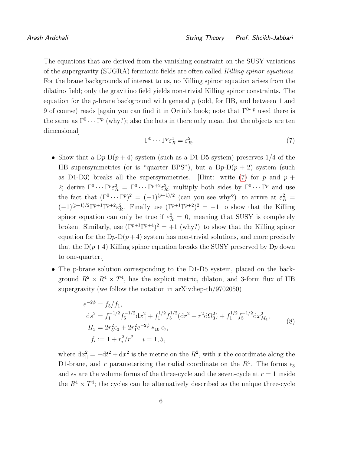The equations that are derived from the vanishing constraint on the SUSY variations of the supergravity (SUGRA) fermionic fields are often called Killing spinor equations. For the brane backgrounds of interest to us, no Killing spinor equation arises from the dilatino field; only the gravitino field yields non-trivial Killing spinor constraints. The equation for the *p*-brane background with general  $p$  (odd, for IIB, and between 1 and 9 of course) reads [again you can find it in Ortin's book; note that  $\Gamma^{0\cdots p}$  used there is the same as  $\Gamma^0 \cdots \Gamma^p$  (why?); also the hats in there only mean that the objects are ten dimensional]

<span id="page-5-0"></span>
$$
\Gamma^0 \cdots \Gamma^p \varepsilon^1_R = \varepsilon^2_R. \tag{7}
$$

- Show that a  $Dp-D(p+4)$  system (such as a D1-D5 system) preserves 1/4 of the IIB supersymmetries (or is "quarter BPS"), but a  $Dp-D(p+2)$  system (such as D1-D3) breaks all the supersymmetries. [Hint: write  $(7)$  for p and  $p +$ 2; derive  $\Gamma^0 \cdots \Gamma^p \varepsilon_R^2 = \Gamma^0 \cdots \Gamma^{p+2} \varepsilon_R^2$ ; multiply both sides by  $\Gamma^0 \cdots \Gamma^p$  and use the fact that  $(\Gamma^0 \cdots \Gamma^p)^2 = (-1)^{(p-1)/2}$  (can you see why?) to arrive at  $\varepsilon_R^2 =$  $(-1)^{(p-1)/2} \Gamma^{p+1} \Gamma^{p+2} \varepsilon_R^2$ . Finally use  $(\Gamma^{p+1} \Gamma^{p+2})^2 = -1$  to show that the Killing spinor equation can only be true if  $\varepsilon_R^2 = 0$ , meaning that SUSY is completely broken. Similarly, use  $(\Gamma^{p+1}\Gamma^{p+4})^2 = +1$  (why?) to show that the Killing spinor equation for the  $Dp-D(p+4)$  system has non-trivial solutions, and more precisely that the  $D(p+4)$  Killing spinor equation breaks the SUSY preserved by D<sub>p</sub> down to one-quarter.]
- The p-brane solution corresponding to the D1-D5 system, placed on the background  $R^2 \times R^4 \times T^4$ , has the explicit metric, dilaton, and 3-form flux of IIB supergravity (we follow the notation in arXiv:hep-th/9702050)

$$
e^{-2\phi} = f_5/f_1,
$$
  
\n
$$
ds^2 = f_1^{-1/2} f_5^{-1/2} dx_{\parallel}^2 + f_1^{1/2} f_5^{1/2} (dr^2 + r^2 d\Omega_3^2) + f_1^{1/2} f_5^{-1/2} dx_{M_4}^2,
$$
  
\n
$$
H_3 = 2r_5^2 \epsilon_3 + 2r_1^2 e^{-2\phi} *_{10} \epsilon_7,
$$
  
\n
$$
f_i := 1 + r_i^2 / r^2 \quad i = 1, 5,
$$
\n(8)

where  $dx_{\parallel}^2 = -dt^2 + dx^2$  is the metric on the  $R^2$ , with x the coordinate along the D1-brane, and r parameterizing the radial coordinate on the  $R<sup>4</sup>$ . The forms  $\epsilon_3$ and  $\epsilon_7$  are the volume forms of the three-cycle and the seven-cycle at  $r = 1$  inside the  $R^4 \times T^4$ ; the cycles can be alternatively described as the unique three-cycle